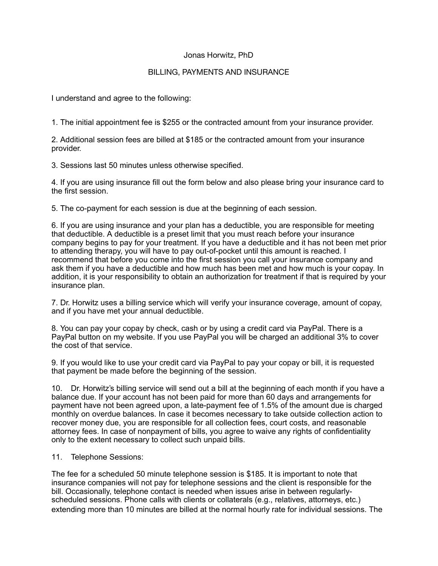## Jonas Horwitz, PhD

## BILLING, PAYMENTS AND INSURANCE

I understand and agree to the following:

1. The initial appointment fee is \$255 or the contracted amount from your insurance provider.

2. Additional session fees are billed at \$185 or the contracted amount from your insurance provider.

3. Sessions last 50 minutes unless otherwise specified.

4. If you are using insurance fill out the form below and also please bring your insurance card to the first session.

5. The co-payment for each session is due at the beginning of each session.

6. If you are using insurance and your plan has a deductible, you are responsible for meeting that deductible. A deductible is a preset limit that you must reach before your insurance company begins to pay for your treatment. If you have a deductible and it has not been met prior to attending therapy, you will have to pay out-of-pocket until this amount is reached. I recommend that before you come into the first session you call your insurance company and ask them if you have a deductible and how much has been met and how much is your copay. In addition, it is your responsibility to obtain an authorization for treatment if that is required by your insurance plan.

7. Dr. Horwitz uses a billing service which will verify your insurance coverage, amount of copay, and if you have met your annual deductible.

8. You can pay your copay by check, cash or by using a credit card via PayPal. There is a PayPal button on my website. If you use PayPal you will be charged an additional 3% to cover the cost of that service.

9. If you would like to use your credit card via PayPal to pay your copay or bill, it is requested that payment be made before the beginning of the session.

10. Dr. Horwitz's billing service will send out a bill at the beginning of each month if you have a balance due. If your account has not been paid for more than 60 days and arrangements for payment have not been agreed upon, a late-payment fee of 1.5% of the amount due is charged monthly on overdue balances. In case it becomes necessary to take outside collection action to recover money due, you are responsible for all collection fees, court costs, and reasonable attorney fees. In case of nonpayment of bills, you agree to waive any rights of confidentiality only to the extent necessary to collect such unpaid bills.

#### 11. Telephone Sessions:

The fee for a scheduled 50 minute telephone session is \$185. It is important to note that insurance companies will not pay for telephone sessions and the client is responsible for the bill. Occasionally, telephone contact is needed when issues arise in between regularlyscheduled sessions. Phone calls with clients or collaterals (e.g., relatives, attorneys, etc.) extending more than 10 minutes are billed at the normal hourly rate for individual sessions. The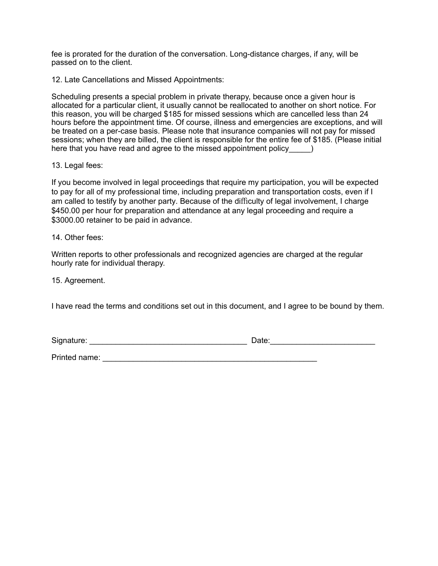fee is prorated for the duration of the conversation. Long-distance charges, if any, will be passed on to the client.

12. Late Cancellations and Missed Appointments:

Scheduling presents a special problem in private therapy, because once a given hour is allocated for a particular client, it usually cannot be reallocated to another on short notice. For this reason, you will be charged \$185 for missed sessions which are cancelled less than 24 hours before the appointment time. Of course, illness and emergencies are exceptions, and will be treated on a per-case basis. Please note that insurance companies will not pay for missed sessions; when they are billed, the client is responsible for the entire fee of \$185. (Please initial here that you have read and agree to the missed appointment policy\_\_\_\_\_)

#### 13. Legal fees:

If you become involved in legal proceedings that require my participation, you will be expected to pay for all of my professional time, including preparation and transportation costs, even if I am called to testify by another party. Because of the difficulty of legal involvement, I charge \$450.00 per hour for preparation and attendance at any legal proceeding and require a \$3000.00 retainer to be paid in advance.

#### 14. Other fees:

Written reports to other professionals and recognized agencies are charged at the regular hourly rate for individual therapy.

15. Agreement.

I have read the terms and conditions set out in this document, and I agree to be bound by them.

Signature: \_\_\_\_\_\_\_\_\_\_\_\_\_\_\_\_\_\_\_\_\_\_\_\_\_\_\_\_\_\_\_\_\_\_\_\_ Date:\_\_\_\_\_\_\_\_\_\_\_\_\_\_\_\_\_\_\_\_\_\_\_\_

Printed name: \_\_\_\_\_\_\_\_\_\_\_\_\_\_\_\_\_\_\_\_\_\_\_\_\_\_\_\_\_\_\_\_\_\_\_\_\_\_\_\_\_\_\_\_\_\_\_\_\_